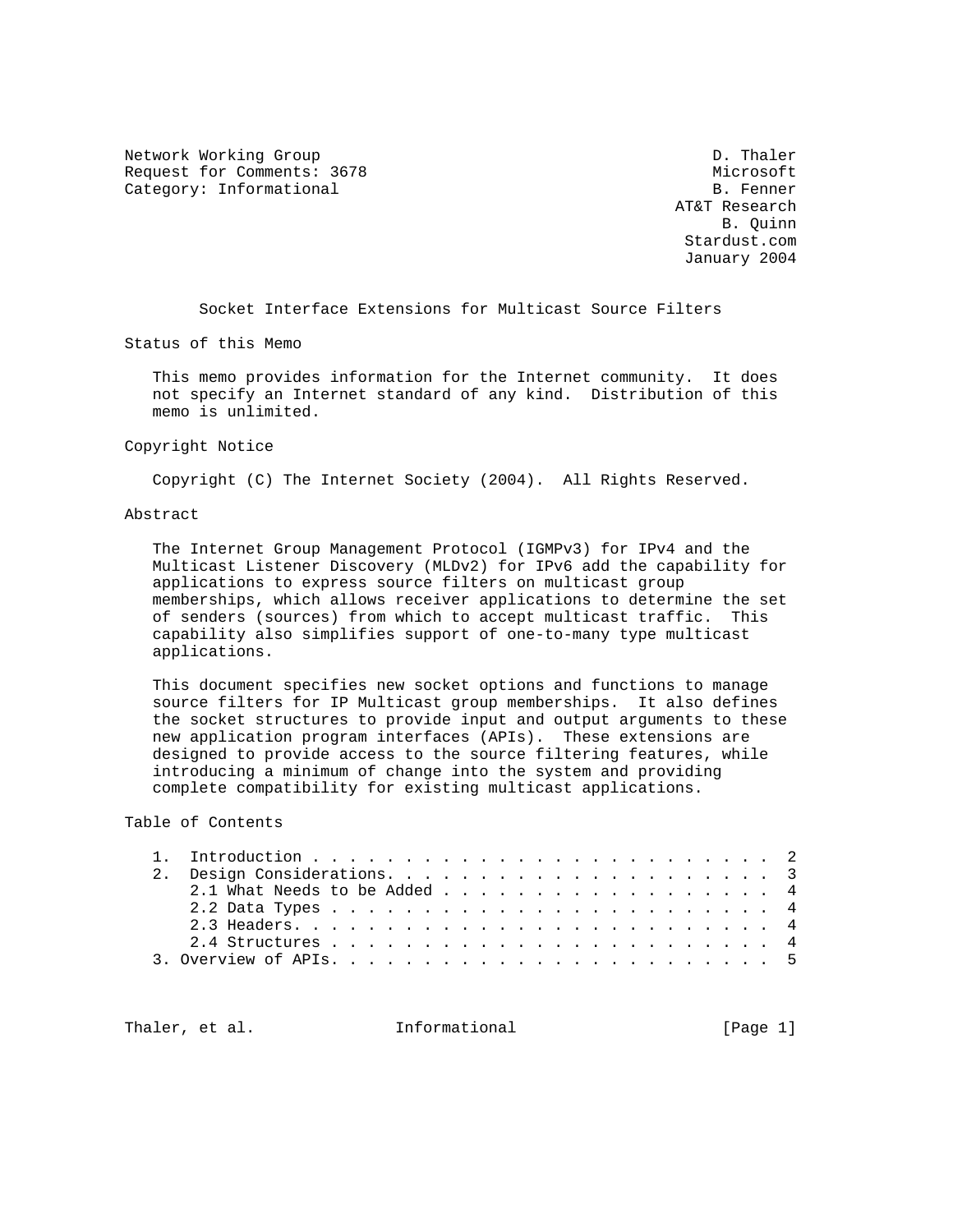Network Working Group Description of the U.S. of the U.S. of the U.S. of the U.S. of the U.S. of the U.S. of the U.S. of the U.S. of the U.S. of the U.S. of the U.S. of the U.S. of the U.S. of the U.S. of the U.S. of the U Request for Comments: 3678 Microsoft Category: Informational

 AT&T Research B. Quinn Stardust.com January 2004

Socket Interface Extensions for Multicast Source Filters

Status of this Memo

 This memo provides information for the Internet community. It does not specify an Internet standard of any kind. Distribution of this memo is unlimited.

#### Copyright Notice

Copyright (C) The Internet Society (2004). All Rights Reserved.

#### Abstract

 The Internet Group Management Protocol (IGMPv3) for IPv4 and the Multicast Listener Discovery (MLDv2) for IPv6 add the capability for applications to express source filters on multicast group memberships, which allows receiver applications to determine the set of senders (sources) from which to accept multicast traffic. This capability also simplifies support of one-to-many type multicast applications.

 This document specifies new socket options and functions to manage source filters for IP Multicast group memberships. It also defines the socket structures to provide input and output arguments to these new application program interfaces (APIs). These extensions are designed to provide access to the source filtering features, while introducing a minimum of change into the system and providing complete compatibility for existing multicast applications.

Table of Contents

Thaler, et al. **Informational** [Page 1]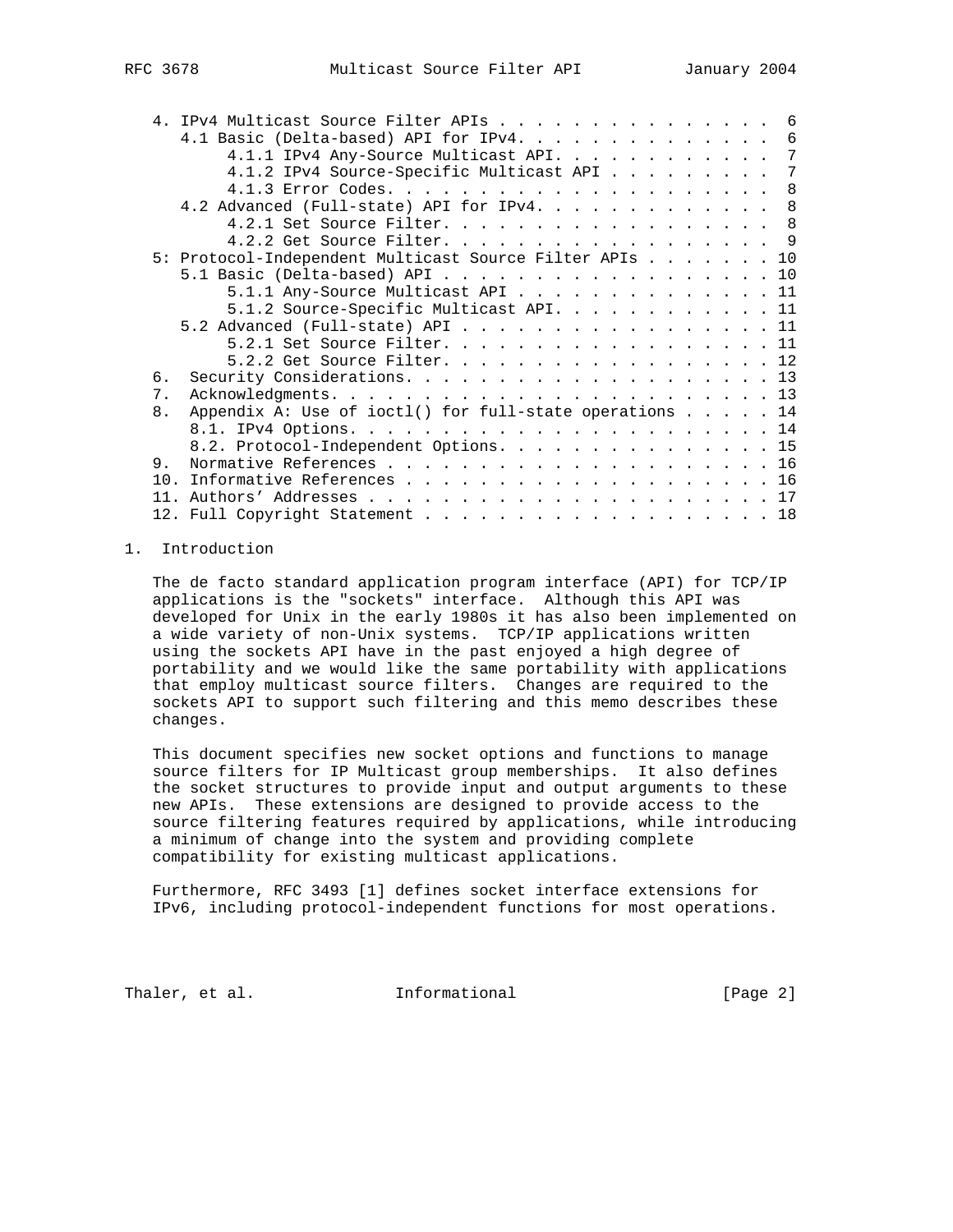| FC 3678 |  |
|---------|--|
|         |  |

| 4. IPv4 Multicast Source Filter APIs 6                        |  |   |
|---------------------------------------------------------------|--|---|
| 4.1 Basic (Delta-based) API for IPv4.                         |  | 6 |
| 4.1.1 IPv4 Any-Source Multicast API.                          |  | 7 |
| 4.1.2 IPv4 Source-Specific Multicast API                      |  | 7 |
|                                                               |  | 8 |
| 4.2 Advanced (Full-state) API for IPv4. 8                     |  |   |
| 4.2.1 Set Source Filter.                                      |  | 8 |
| 4.2.2 Get Source Filter. 9                                    |  |   |
| 5: Protocol-Independent Multicast Source Filter APIs 10       |  |   |
| 5.1 Basic (Delta-based) API 10                                |  |   |
| 5.1.1 Any-Source Multicast API 11                             |  |   |
| 5.1.2 Source-Specific Multicast API. 11                       |  |   |
| 5.2 Advanced (Full-state) API 11                              |  |   |
| 5.2.1 Set Source Filter. 11                                   |  |   |
| 5.2.2 Get Source Filter. 12                                   |  |   |
| б.                                                            |  |   |
| 7.                                                            |  |   |
| Appendix A: Use of ioctl() for full-state operations 14<br>8. |  |   |
|                                                               |  |   |
| 8.2. Protocol-Independent Options. 15                         |  |   |
| 9.                                                            |  |   |
| 10 <sub>1</sub>                                               |  |   |
| 11.                                                           |  |   |
| 12. Full Copyright Statement 18                               |  |   |

## 1. Introduction

 The de facto standard application program interface (API) for TCP/IP applications is the "sockets" interface. Although this API was developed for Unix in the early 1980s it has also been implemented on a wide variety of non-Unix systems. TCP/IP applications written using the sockets API have in the past enjoyed a high degree of portability and we would like the same portability with applications that employ multicast source filters. Changes are required to the sockets API to support such filtering and this memo describes these changes.

 This document specifies new socket options and functions to manage source filters for IP Multicast group memberships. It also defines the socket structures to provide input and output arguments to these new APIs. These extensions are designed to provide access to the source filtering features required by applications, while introducing a minimum of change into the system and providing complete compatibility for existing multicast applications.

 Furthermore, RFC 3493 [1] defines socket interface extensions for IPv6, including protocol-independent functions for most operations.

Thaler, et al. **Informational** [Page 2]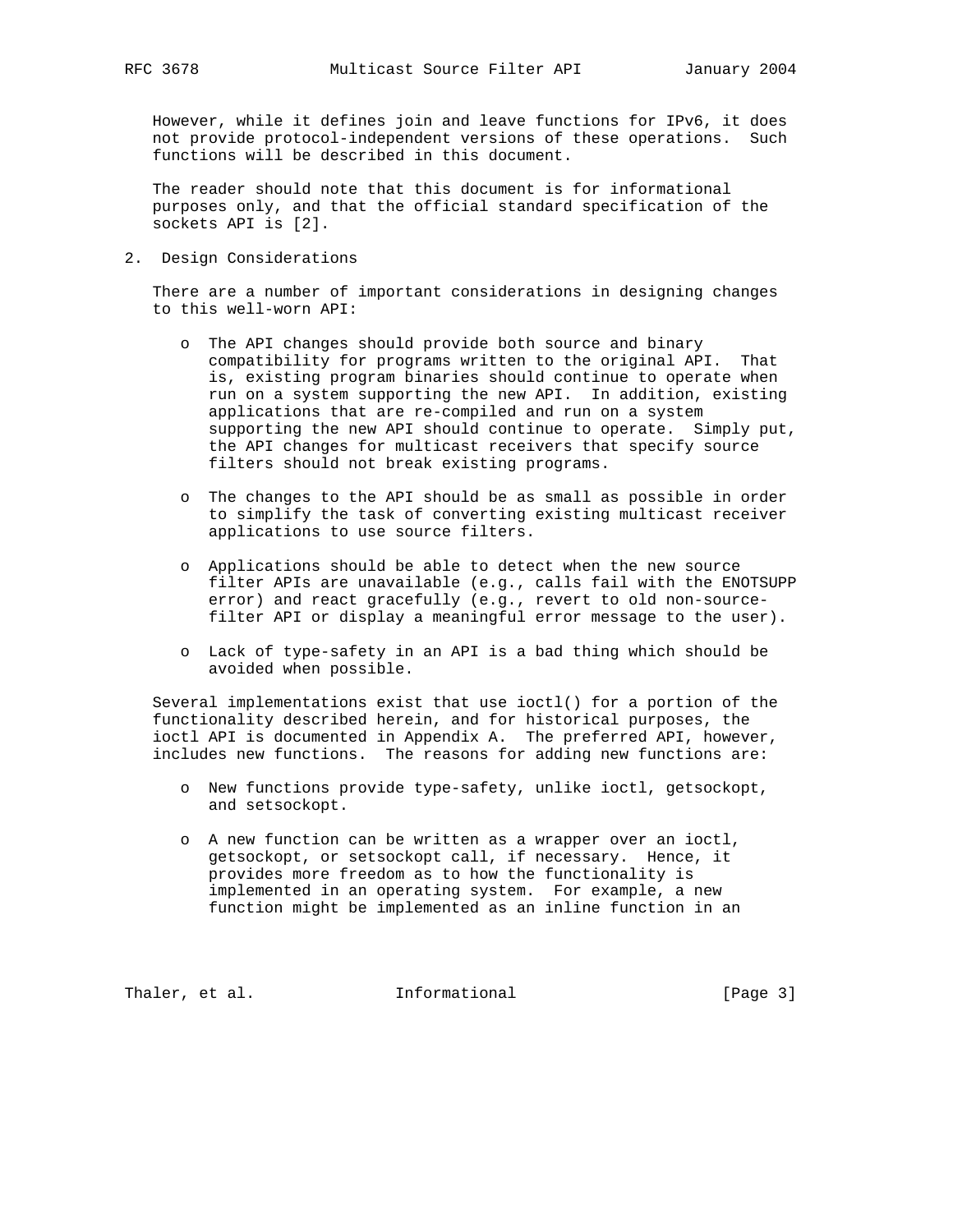However, while it defines join and leave functions for IPv6, it does not provide protocol-independent versions of these operations. Such functions will be described in this document.

 The reader should note that this document is for informational purposes only, and that the official standard specification of the sockets API is [2].

2. Design Considerations

 There are a number of important considerations in designing changes to this well-worn API:

- o The API changes should provide both source and binary compatibility for programs written to the original API. That is, existing program binaries should continue to operate when run on a system supporting the new API. In addition, existing applications that are re-compiled and run on a system supporting the new API should continue to operate. Simply put, the API changes for multicast receivers that specify source filters should not break existing programs.
- o The changes to the API should be as small as possible in order to simplify the task of converting existing multicast receiver applications to use source filters.
- o Applications should be able to detect when the new source filter APIs are unavailable (e.g., calls fail with the ENOTSUPP error) and react gracefully (e.g., revert to old non-source filter API or display a meaningful error message to the user).
- o Lack of type-safety in an API is a bad thing which should be avoided when possible.

 Several implementations exist that use ioctl() for a portion of the functionality described herein, and for historical purposes, the ioctl API is documented in Appendix A. The preferred API, however, includes new functions. The reasons for adding new functions are:

- o New functions provide type-safety, unlike ioctl, getsockopt, and setsockopt.
- o A new function can be written as a wrapper over an ioctl, getsockopt, or setsockopt call, if necessary. Hence, it provides more freedom as to how the functionality is implemented in an operating system. For example, a new function might be implemented as an inline function in an

Thaler, et al. 1nformational 1999 [Page 3]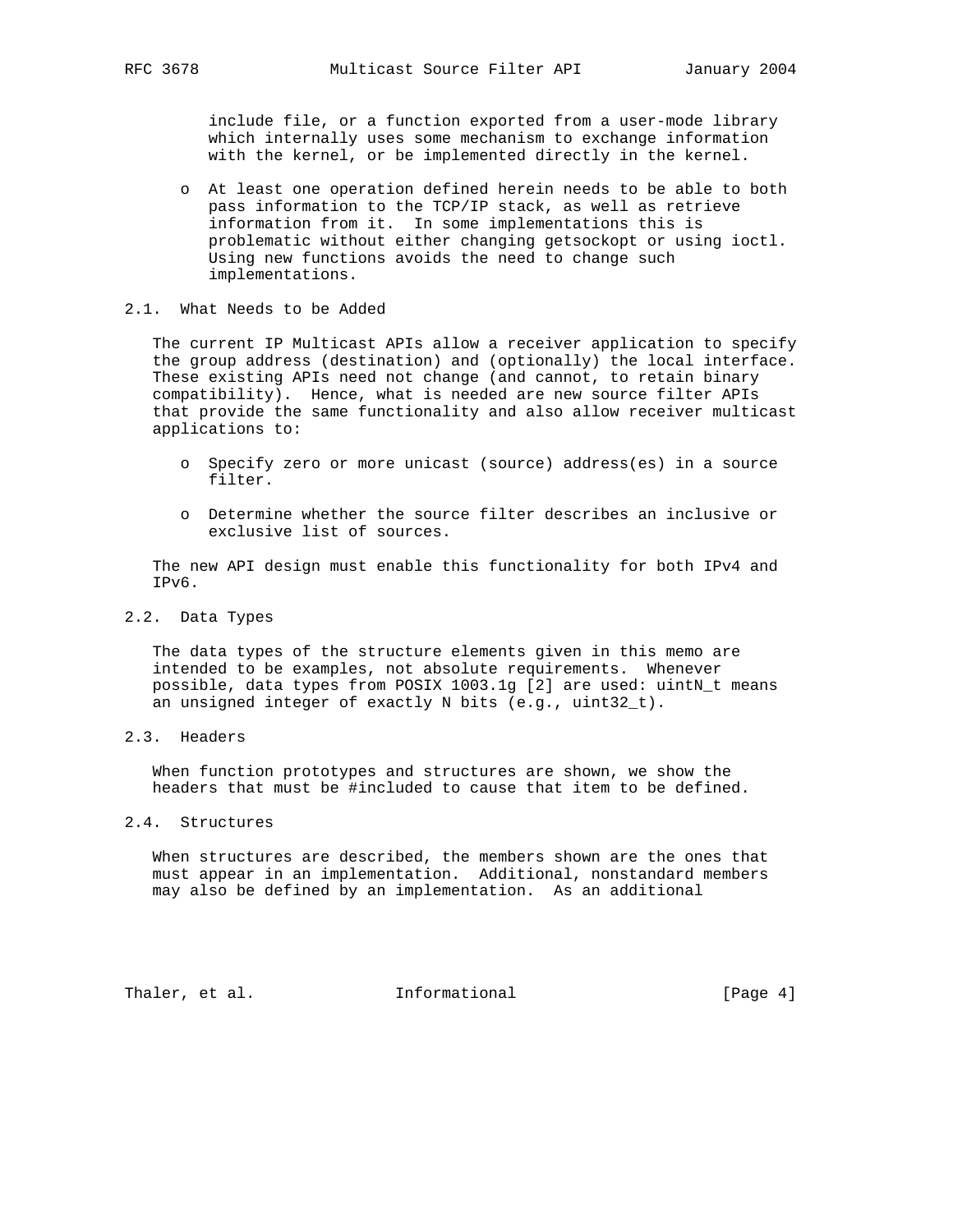include file, or a function exported from a user-mode library which internally uses some mechanism to exchange information with the kernel, or be implemented directly in the kernel.

 o At least one operation defined herein needs to be able to both pass information to the TCP/IP stack, as well as retrieve information from it. In some implementations this is problematic without either changing getsockopt or using ioctl. Using new functions avoids the need to change such implementations.

#### 2.1. What Needs to be Added

 The current IP Multicast APIs allow a receiver application to specify the group address (destination) and (optionally) the local interface. These existing APIs need not change (and cannot, to retain binary compatibility). Hence, what is needed are new source filter APIs that provide the same functionality and also allow receiver multicast applications to:

- o Specify zero or more unicast (source) address(es) in a source filter.
- o Determine whether the source filter describes an inclusive or exclusive list of sources.

 The new API design must enable this functionality for both IPv4 and IPv6.

2.2. Data Types

 The data types of the structure elements given in this memo are intended to be examples, not absolute requirements. Whenever possible, data types from POSIX 1003.1q [2] are used: uintN t means an unsigned integer of exactly N bits (e.g., uint32\_t).

2.3. Headers

 When function prototypes and structures are shown, we show the headers that must be #included to cause that item to be defined.

2.4. Structures

 When structures are described, the members shown are the ones that must appear in an implementation. Additional, nonstandard members may also be defined by an implementation. As an additional

Thaler, et al. **Informational** [Page 4]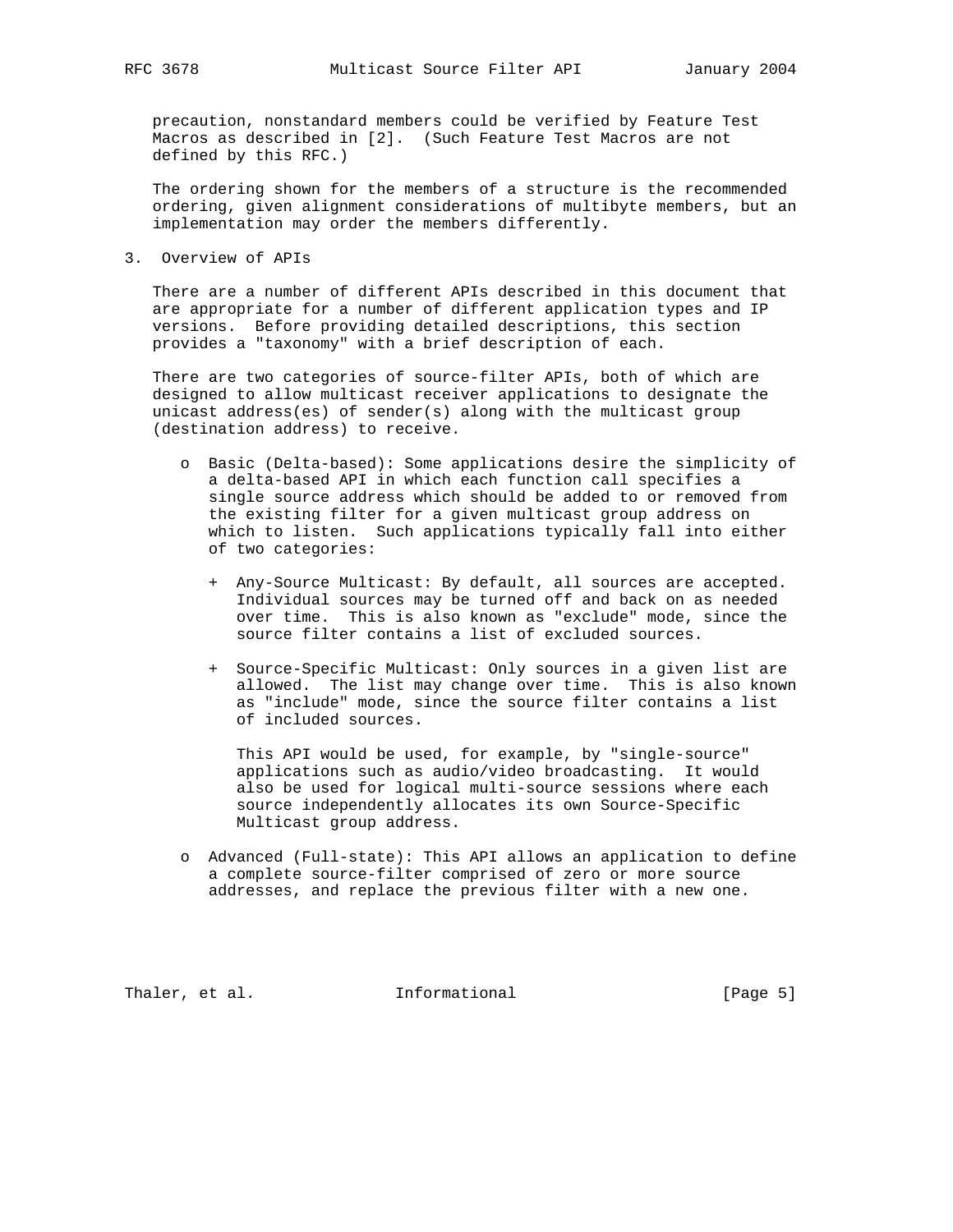precaution, nonstandard members could be verified by Feature Test Macros as described in [2]. (Such Feature Test Macros are not defined by this RFC.)

 The ordering shown for the members of a structure is the recommended ordering, given alignment considerations of multibyte members, but an implementation may order the members differently.

3. Overview of APIs

 There are a number of different APIs described in this document that are appropriate for a number of different application types and IP versions. Before providing detailed descriptions, this section provides a "taxonomy" with a brief description of each.

 There are two categories of source-filter APIs, both of which are designed to allow multicast receiver applications to designate the unicast address(es) of sender(s) along with the multicast group (destination address) to receive.

- o Basic (Delta-based): Some applications desire the simplicity of a delta-based API in which each function call specifies a single source address which should be added to or removed from the existing filter for a given multicast group address on which to listen. Such applications typically fall into either of two categories:
	- + Any-Source Multicast: By default, all sources are accepted. Individual sources may be turned off and back on as needed over time. This is also known as "exclude" mode, since the source filter contains a list of excluded sources.
	- + Source-Specific Multicast: Only sources in a given list are allowed. The list may change over time. This is also known as "include" mode, since the source filter contains a list of included sources.

 This API would be used, for example, by "single-source" applications such as audio/video broadcasting. It would also be used for logical multi-source sessions where each source independently allocates its own Source-Specific Multicast group address.

 o Advanced (Full-state): This API allows an application to define a complete source-filter comprised of zero or more source addresses, and replace the previous filter with a new one.

Thaler, et al. **Informational** [Page 5]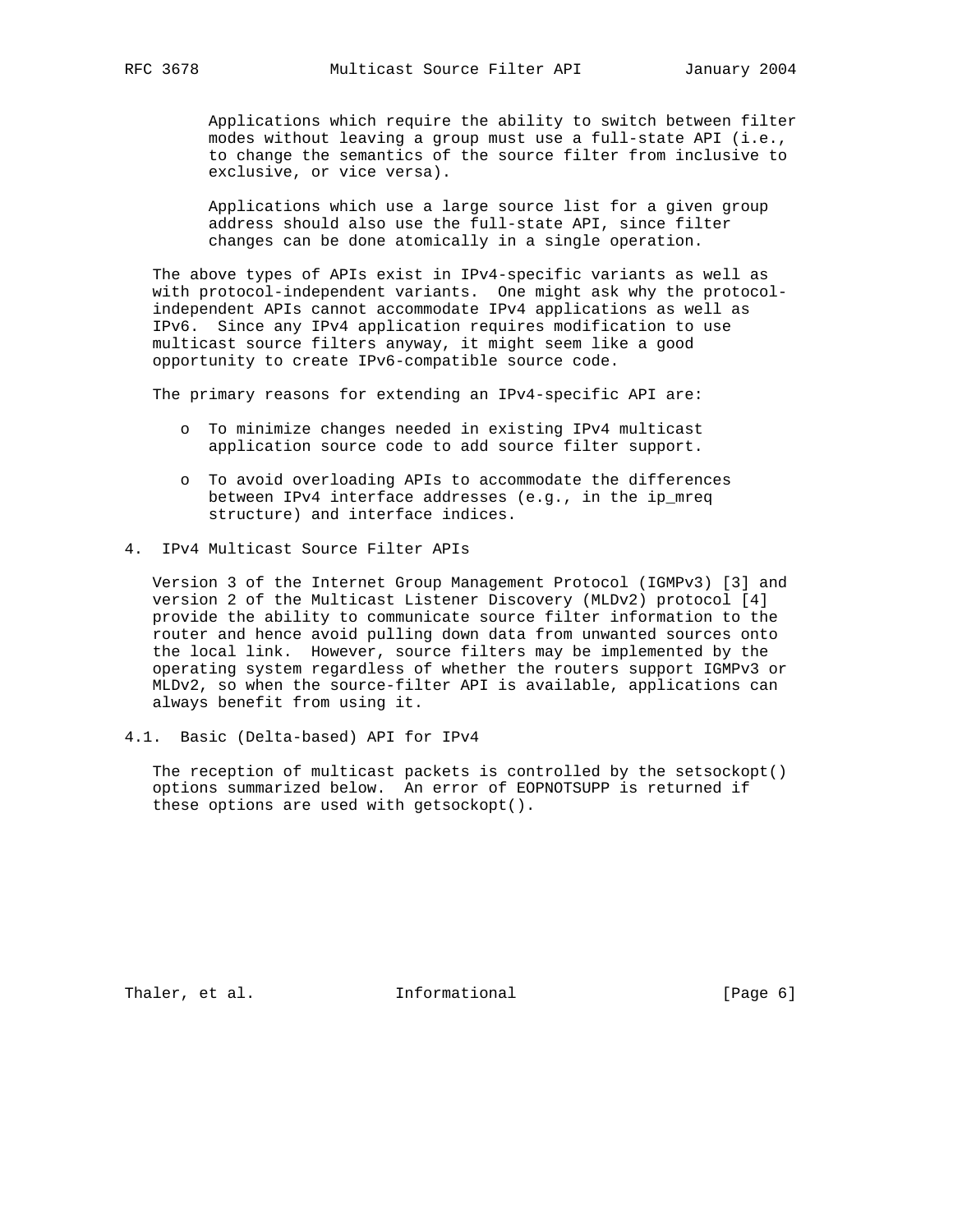Applications which require the ability to switch between filter modes without leaving a group must use a full-state API (i.e., to change the semantics of the source filter from inclusive to exclusive, or vice versa).

 Applications which use a large source list for a given group address should also use the full-state API, since filter changes can be done atomically in a single operation.

 The above types of APIs exist in IPv4-specific variants as well as with protocol-independent variants. One might ask why the protocol independent APIs cannot accommodate IPv4 applications as well as IPv6. Since any IPv4 application requires modification to use multicast source filters anyway, it might seem like a good opportunity to create IPv6-compatible source code.

The primary reasons for extending an IPv4-specific API are:

- o To minimize changes needed in existing IPv4 multicast application source code to add source filter support.
- o To avoid overloading APIs to accommodate the differences between IPv4 interface addresses (e.g., in the ip\_mreq structure) and interface indices.
- 4. IPv4 Multicast Source Filter APIs

 Version 3 of the Internet Group Management Protocol (IGMPv3) [3] and version 2 of the Multicast Listener Discovery (MLDv2) protocol [4] provide the ability to communicate source filter information to the router and hence avoid pulling down data from unwanted sources onto the local link. However, source filters may be implemented by the operating system regardless of whether the routers support IGMPv3 or MLDv2, so when the source-filter API is available, applications can always benefit from using it.

4.1. Basic (Delta-based) API for IPv4

 The reception of multicast packets is controlled by the setsockopt() options summarized below. An error of EOPNOTSUPP is returned if these options are used with getsockopt().

Thaler, et al. 1nformational 1999 [Page 6]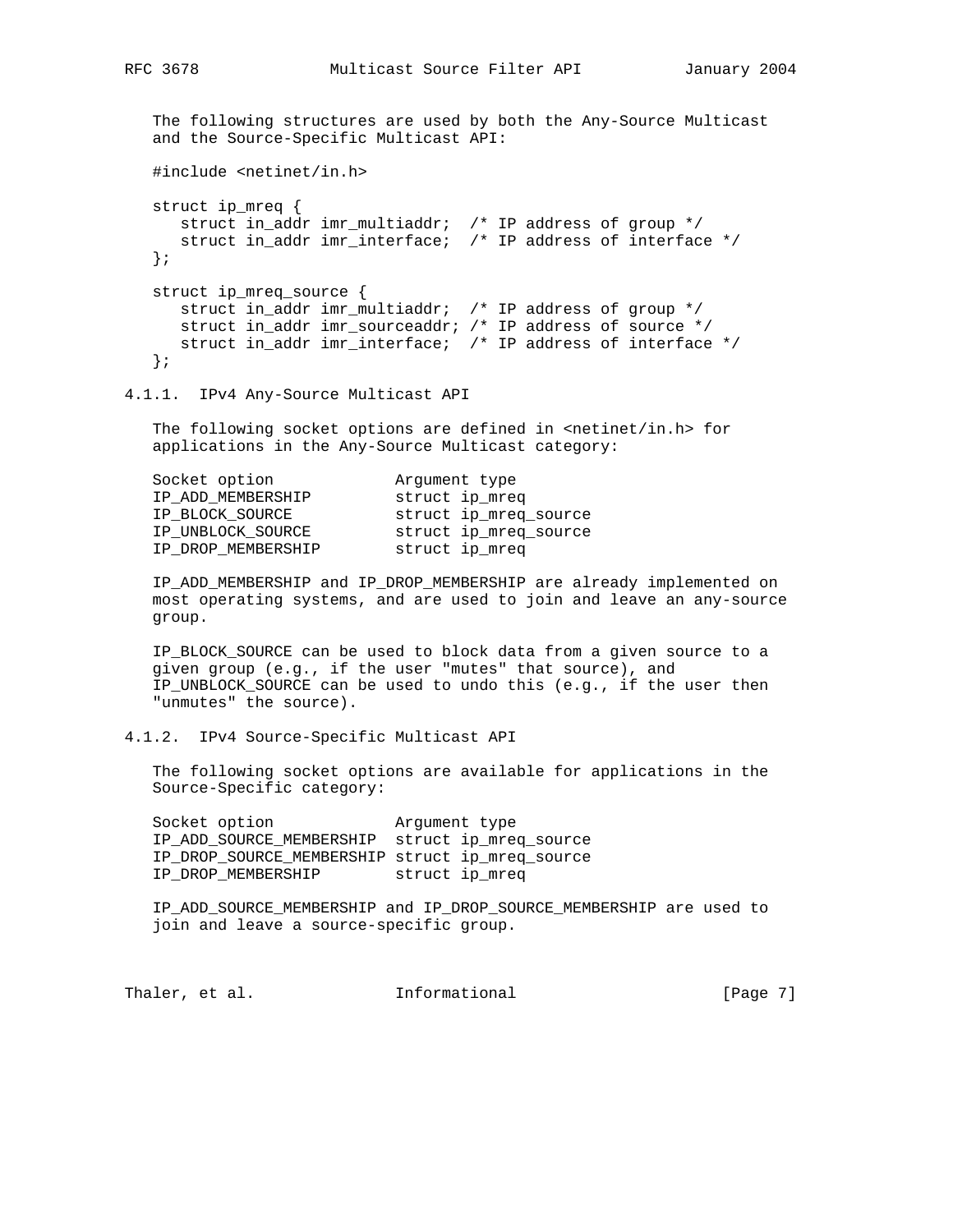RFC 3678 Multicast Source Filter API January 2004

 The following structures are used by both the Any-Source Multicast and the Source-Specific Multicast API:

#include <netinet/in.h>

```
 struct ip_mreq {
   struct in_addr imr_multiaddr; /* IP address of group */
    struct in_addr imr_interface; /* IP address of interface */
 };
 struct ip_mreq_source {
   struct in_addr imr_multiaddr; /* IP address of group */
   struct in_addr imr_sourceaddr; /* IP address of source */
   struct in_addr imr_interface; /* IP address of interface */
 };
```
4.1.1. IPv4 Any-Source Multicast API

The following socket options are defined in <netinet/in.h> for applications in the Any-Source Multicast category:

| Socket option      | Arqument type         |
|--------------------|-----------------------|
| IP ADD MEMBERSHIP  | struct ip_mreq        |
| IP BLOCK SOURCE    | struct ip_mreq_source |
| IP_UNBLOCK_SOURCE  | struct ip_mreq_source |
| IP DROP MEMBERSHIP | struct ip_mreq        |
|                    |                       |

 IP\_ADD\_MEMBERSHIP and IP\_DROP\_MEMBERSHIP are already implemented on most operating systems, and are used to join and leave an any-source group.

 IP\_BLOCK\_SOURCE can be used to block data from a given source to a given group (e.g., if the user "mutes" that source), and IP UNBLOCK SOURCE can be used to undo this (e.g., if the user then "unmutes" the source).

4.1.2. IPv4 Source-Specific Multicast API

 The following socket options are available for applications in the Source-Specific category:

Socket option **Argument** type IP\_ADD\_SOURCE\_MEMBERSHIP struct ip\_mreq\_source IP\_DROP\_SOURCE\_MEMBERSHIP struct ip\_mreq\_source IP\_DROP\_MEMBERSHIP struct ip\_mreq

 IP\_ADD\_SOURCE\_MEMBERSHIP and IP\_DROP\_SOURCE\_MEMBERSHIP are used to join and leave a source-specific group.

Thaler, et al. **Informational** [Page 7]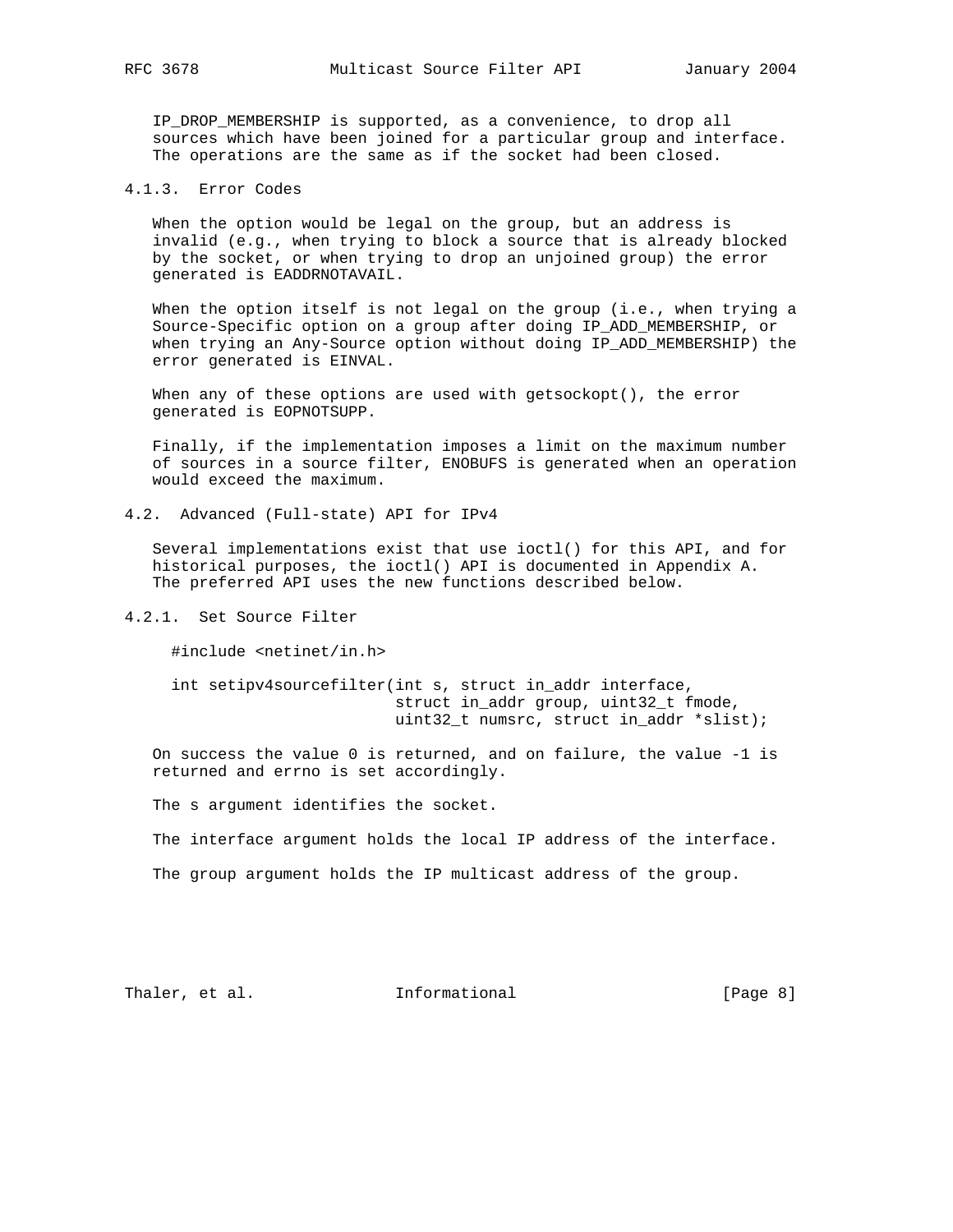IP\_DROP\_MEMBERSHIP is supported, as a convenience, to drop all sources which have been joined for a particular group and interface. The operations are the same as if the socket had been closed.

4.1.3. Error Codes

 When the option would be legal on the group, but an address is invalid (e.g., when trying to block a source that is already blocked by the socket, or when trying to drop an unjoined group) the error generated is EADDRNOTAVAIL.

When the option itself is not legal on the group (i.e., when trying a Source-Specific option on a group after doing IP\_ADD\_MEMBERSHIP, or when trying an Any-Source option without doing IP\_ADD\_MEMBERSHIP) the error generated is EINVAL.

When any of these options are used with getsockopt(), the error generated is EOPNOTSUPP.

 Finally, if the implementation imposes a limit on the maximum number of sources in a source filter, ENOBUFS is generated when an operation would exceed the maximum.

4.2. Advanced (Full-state) API for IPv4

 Several implementations exist that use ioctl() for this API, and for historical purposes, the ioctl() API is documented in Appendix A. The preferred API uses the new functions described below.

## 4.2.1. Set Source Filter

#include <netinet/in.h>

 int setipv4sourcefilter(int s, struct in\_addr interface, struct in\_addr group, uint32\_t fmode, uint32\_t numsrc, struct in\_addr \*slist);

 On success the value 0 is returned, and on failure, the value -1 is returned and errno is set accordingly.

The s argument identifies the socket.

The interface argument holds the local IP address of the interface.

The group argument holds the IP multicast address of the group.

Thaler, et al. 1nformational 1999 [Page 8]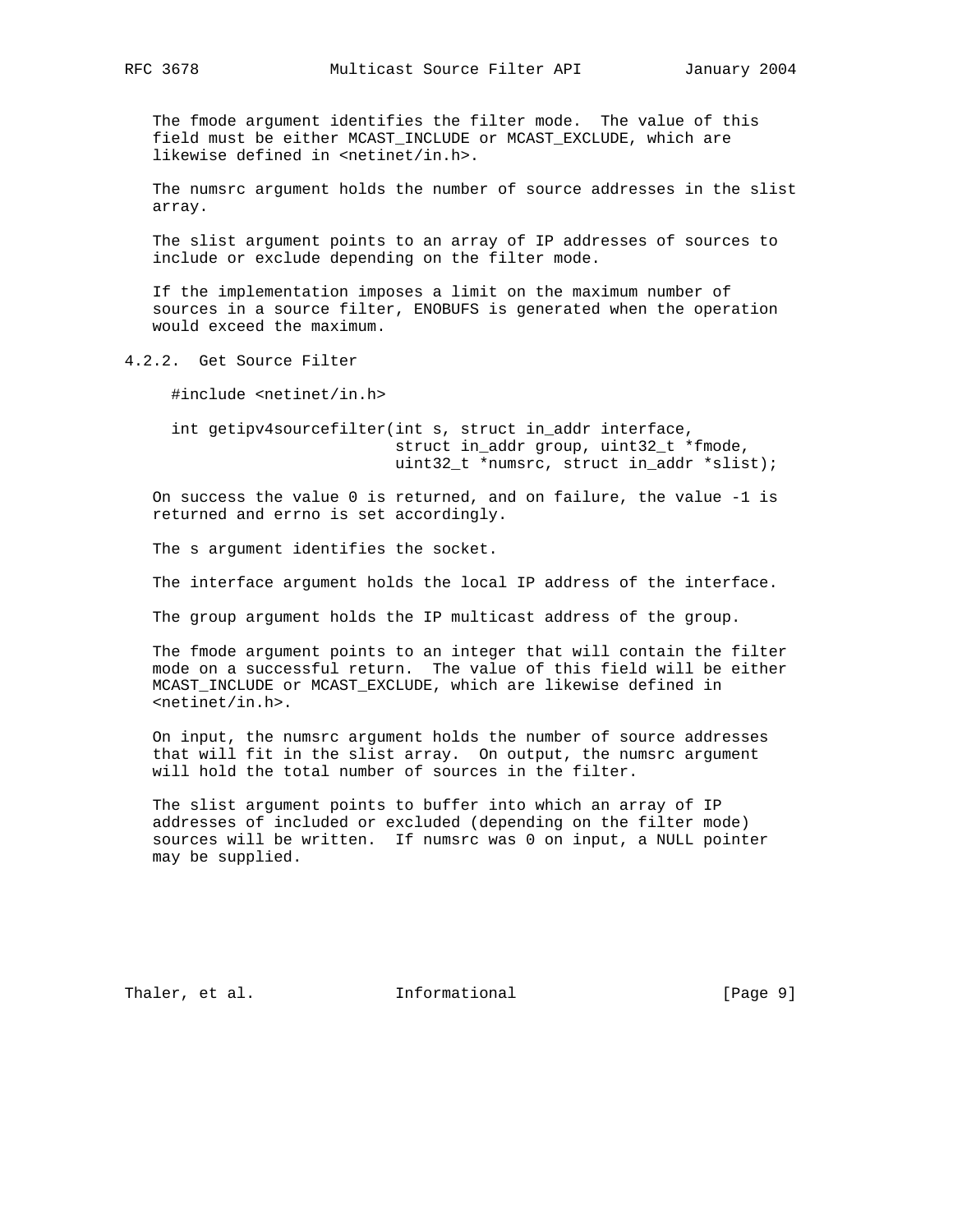The fmode argument identifies the filter mode. The value of this field must be either MCAST\_INCLUDE or MCAST\_EXCLUDE, which are likewise defined in <netinet/in.h>.

 The numsrc argument holds the number of source addresses in the slist array.

 The slist argument points to an array of IP addresses of sources to include or exclude depending on the filter mode.

 If the implementation imposes a limit on the maximum number of sources in a source filter, ENOBUFS is generated when the operation would exceed the maximum.

4.2.2. Get Source Filter

#include <netinet/in.h>

 int getipv4sourcefilter(int s, struct in\_addr interface, struct in\_addr group, uint32\_t \*fmode, uint32\_t \*numsrc, struct in\_addr \*slist);

 On success the value 0 is returned, and on failure, the value -1 is returned and errno is set accordingly.

The s argument identifies the socket.

The interface argument holds the local IP address of the interface.

The group argument holds the IP multicast address of the group.

 The fmode argument points to an integer that will contain the filter mode on a successful return. The value of this field will be either MCAST INCLUDE or MCAST EXCLUDE, which are likewise defined in <netinet/in.h>.

 On input, the numsrc argument holds the number of source addresses that will fit in the slist array. On output, the numsrc argument will hold the total number of sources in the filter.

 The slist argument points to buffer into which an array of IP addresses of included or excluded (depending on the filter mode) sources will be written. If numsrc was 0 on input, a NULL pointer may be supplied.

Thaler, et al. 1nformational 1999 [Page 9]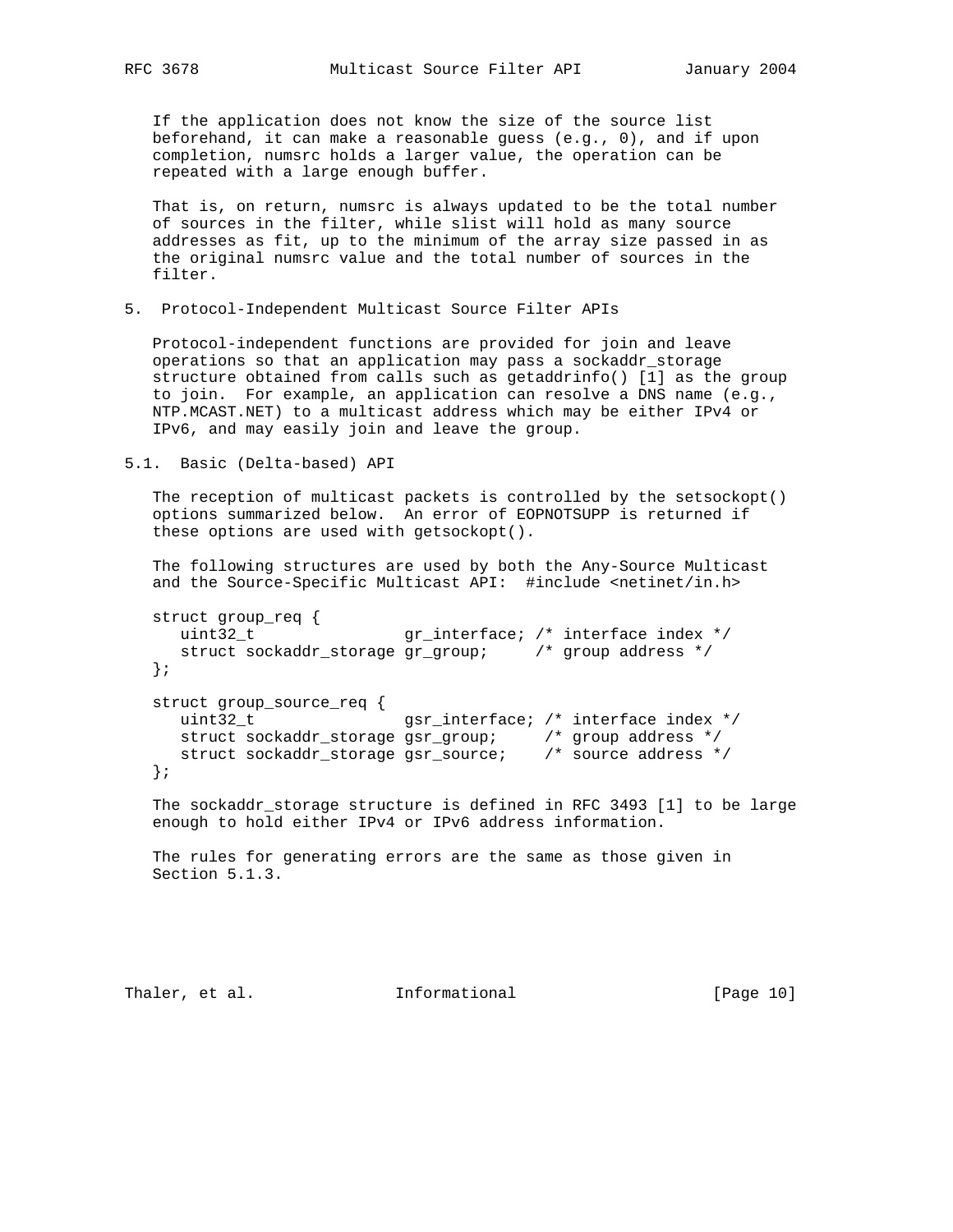If the application does not know the size of the source list beforehand, it can make a reasonable guess (e.g., 0), and if upon completion, numsrc holds a larger value, the operation can be repeated with a large enough buffer.

 That is, on return, numsrc is always updated to be the total number of sources in the filter, while slist will hold as many source addresses as fit, up to the minimum of the array size passed in as the original numsrc value and the total number of sources in the filter.

5. Protocol-Independent Multicast Source Filter APIs

 Protocol-independent functions are provided for join and leave operations so that an application may pass a sockaddr\_storage structure obtained from calls such as getaddrinfo() [1] as the group to join. For example, an application can resolve a DNS name (e.g., NTP.MCAST.NET) to a multicast address which may be either IPv4 or IPv6, and may easily join and leave the group.

5.1. Basic (Delta-based) API

 The reception of multicast packets is controlled by the setsockopt() options summarized below. An error of EOPNOTSUPP is returned if these options are used with getsockopt().

 The following structures are used by both the Any-Source Multicast and the Source-Specific Multicast API: #include <netinet/in.h>

```
 struct group_req {
   uint32_t         gr_interface; /* interface index */
     struct sockaddr_storage gr_group; /* group address */
   };
   struct group_source_req {
    uint32_t gsr_interface; /* interface index */
 struct sockaddr_storage gsr_group; /* group address */
 struct sockaddr_storage gsr_source; /* source address */
   };
```
 The sockaddr\_storage structure is defined in RFC 3493 [1] to be large enough to hold either IPv4 or IPv6 address information.

 The rules for generating errors are the same as those given in Section 5.1.3.

Thaler, et al. 1nformational 1999 [Page 10]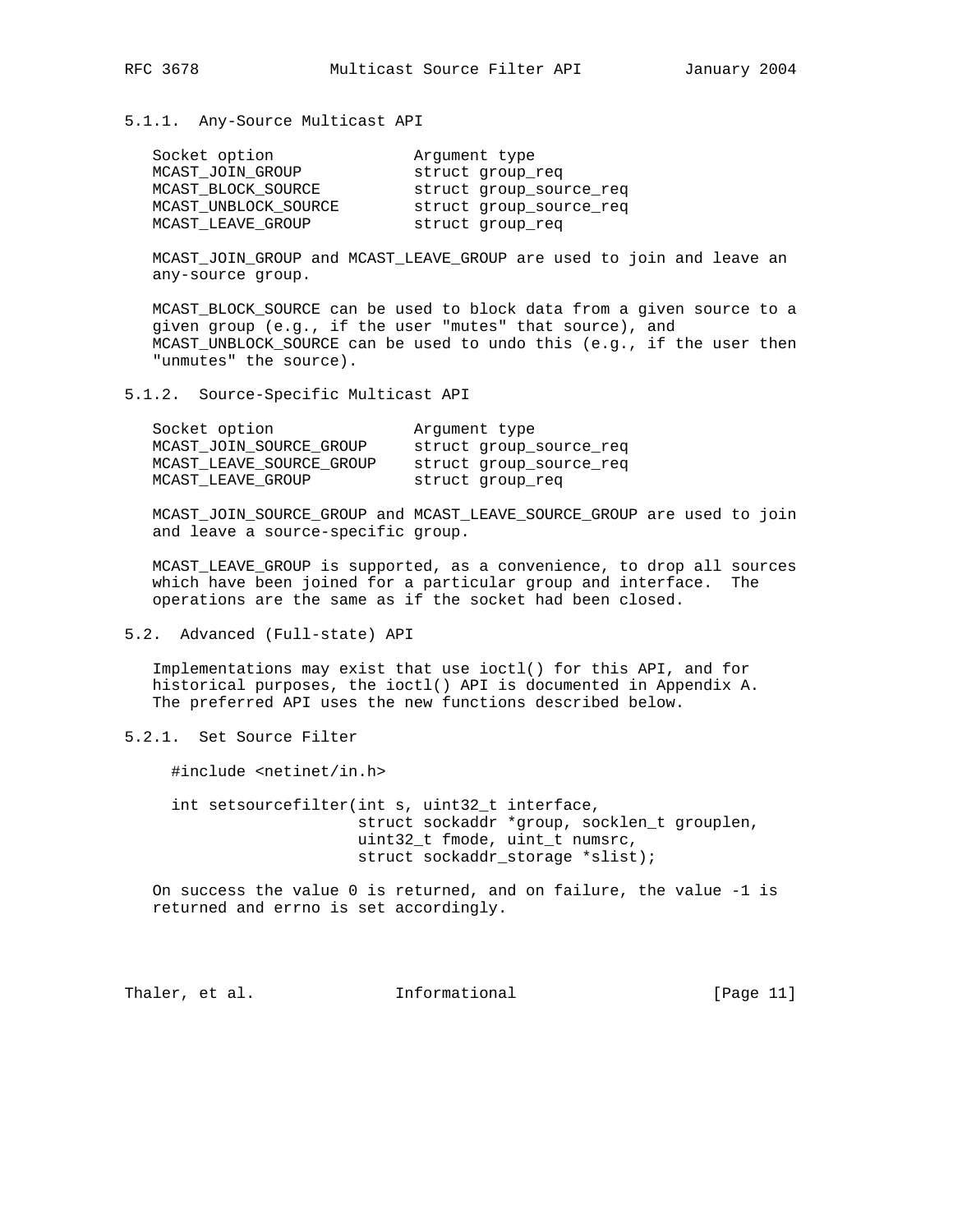#### 5.1.1. Any-Source Multicast API

| Socket option        | Argument type           |
|----------------------|-------------------------|
| MCAST JOIN GROUP     | struct group req        |
| MCAST BLOCK SOURCE   | struct group_source_req |
| MCAST UNBLOCK SOURCE | struct group_source_req |
| MCAST LEAVE GROUP    | struct group reg        |

 MCAST\_JOIN\_GROUP and MCAST\_LEAVE\_GROUP are used to join and leave an any-source group.

 MCAST\_BLOCK\_SOURCE can be used to block data from a given source to a given group (e.g., if the user "mutes" that source), and MCAST\_UNBLOCK\_SOURCE can be used to undo this (e.g., if the user then "unmutes" the source).

#### 5.1.2. Source-Specific Multicast API

| Socket option            | Arqument type           |
|--------------------------|-------------------------|
| MCAST JOIN SOURCE GROUP  | struct group source req |
| MCAST LEAVE SOURCE GROUP | struct group source req |
| MCAST LEAVE GROUP        | struct group req        |

 MCAST\_JOIN\_SOURCE\_GROUP and MCAST\_LEAVE\_SOURCE\_GROUP are used to join and leave a source-specific group.

 MCAST\_LEAVE\_GROUP is supported, as a convenience, to drop all sources which have been joined for a particular group and interface. The operations are the same as if the socket had been closed.

### 5.2. Advanced (Full-state) API

 Implementations may exist that use ioctl() for this API, and for historical purposes, the ioctl() API is documented in Appendix A. The preferred API uses the new functions described below.

## 5.2.1. Set Source Filter

#include <netinet/in.h>

 int setsourcefilter(int s, uint32\_t interface, struct sockaddr \*group, socklen\_t grouplen, uint32\_t fmode, uint\_t numsrc, struct sockaddr\_storage \*slist);

 On success the value 0 is returned, and on failure, the value -1 is returned and errno is set accordingly.

Thaler, et al. **Informational** [Page 11]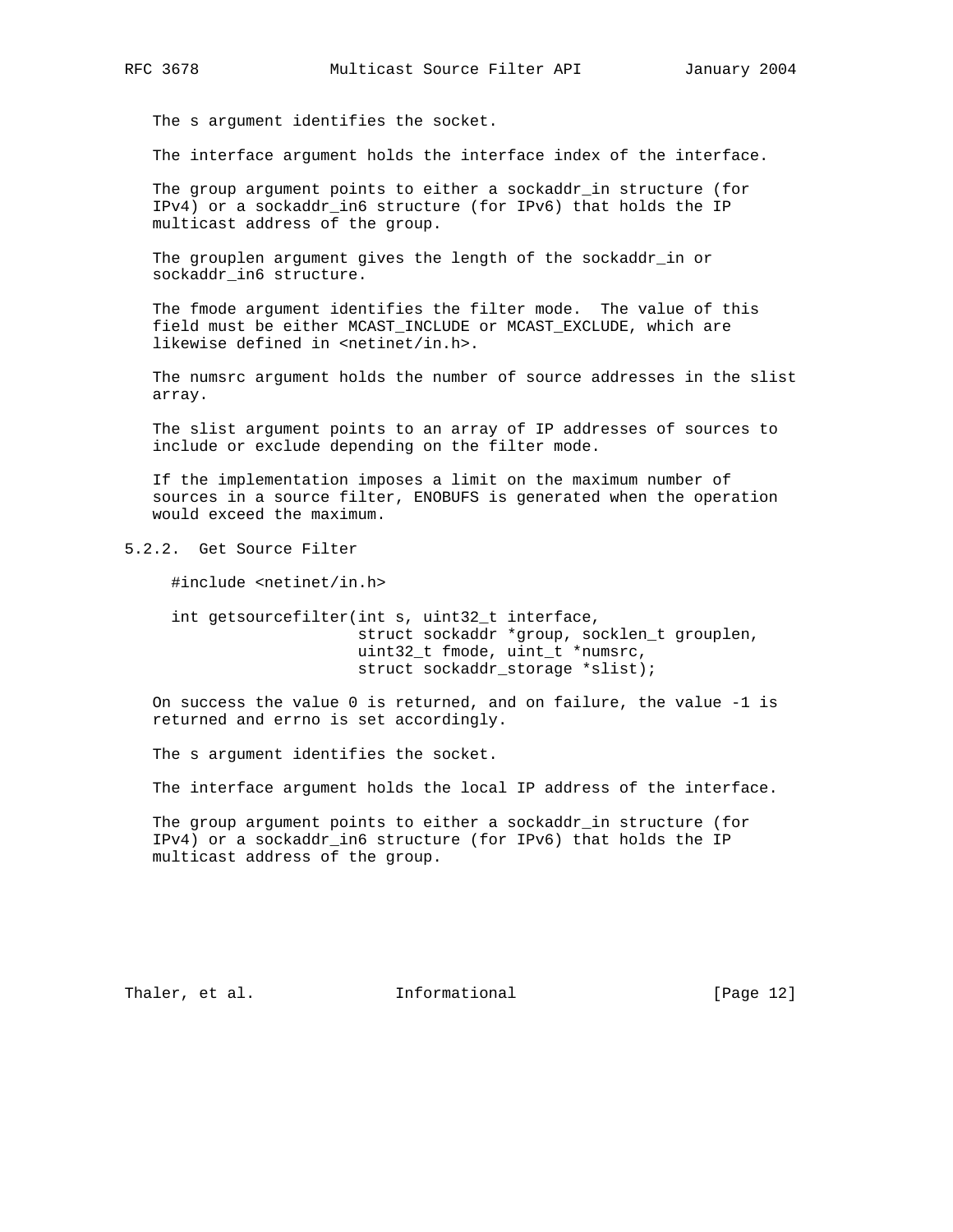The s argument identifies the socket.

The interface argument holds the interface index of the interface.

 The group argument points to either a sockaddr\_in structure (for IPv4) or a sockaddr\_in6 structure (for IPv6) that holds the IP multicast address of the group.

 The grouplen argument gives the length of the sockaddr\_in or sockaddr in6 structure.

 The fmode argument identifies the filter mode. The value of this field must be either MCAST\_INCLUDE or MCAST\_EXCLUDE, which are likewise defined in <netinet/in.h>.

 The numsrc argument holds the number of source addresses in the slist array.

 The slist argument points to an array of IP addresses of sources to include or exclude depending on the filter mode.

 If the implementation imposes a limit on the maximum number of sources in a source filter, ENOBUFS is generated when the operation would exceed the maximum.

5.2.2. Get Source Filter

#include <netinet/in.h>

 int getsourcefilter(int s, uint32\_t interface, struct sockaddr \*group, socklen\_t grouplen, uint32\_t fmode, uint\_t \*numsrc, struct sockaddr\_storage \*slist);

 On success the value 0 is returned, and on failure, the value -1 is returned and errno is set accordingly.

The s argument identifies the socket.

The interface argument holds the local IP address of the interface.

 The group argument points to either a sockaddr\_in structure (for IPv4) or a sockaddr\_in6 structure (for IPv6) that holds the IP multicast address of the group.

Thaler, et al. **Informational** [Page 12]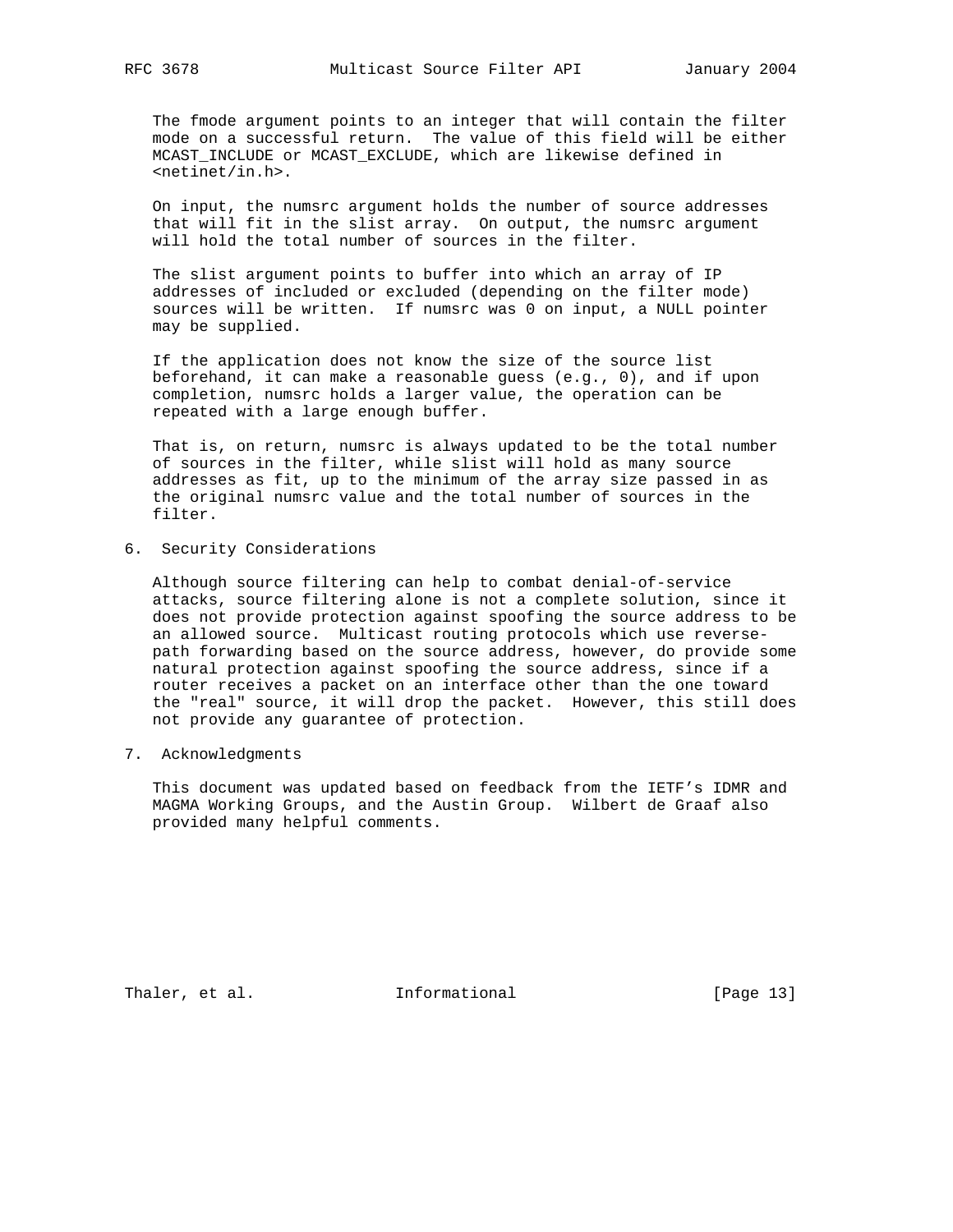The fmode argument points to an integer that will contain the filter mode on a successful return. The value of this field will be either MCAST\_INCLUDE or MCAST\_EXCLUDE, which are likewise defined in <netinet/in.h>.

 On input, the numsrc argument holds the number of source addresses that will fit in the slist array. On output, the numsrc argument will hold the total number of sources in the filter.

 The slist argument points to buffer into which an array of IP addresses of included or excluded (depending on the filter mode) sources will be written. If numsrc was 0 on input, a NULL pointer may be supplied.

 If the application does not know the size of the source list beforehand, it can make a reasonable guess (e.g., 0), and if upon completion, numsrc holds a larger value, the operation can be repeated with a large enough buffer.

 That is, on return, numsrc is always updated to be the total number of sources in the filter, while slist will hold as many source addresses as fit, up to the minimum of the array size passed in as the original numsrc value and the total number of sources in the filter.

6. Security Considerations

 Although source filtering can help to combat denial-of-service attacks, source filtering alone is not a complete solution, since it does not provide protection against spoofing the source address to be an allowed source. Multicast routing protocols which use reverse path forwarding based on the source address, however, do provide some natural protection against spoofing the source address, since if a router receives a packet on an interface other than the one toward the "real" source, it will drop the packet. However, this still does not provide any guarantee of protection.

7. Acknowledgments

 This document was updated based on feedback from the IETF's IDMR and MAGMA Working Groups, and the Austin Group. Wilbert de Graaf also provided many helpful comments.

Thaler, et al. 1nformational 1999 [Page 13]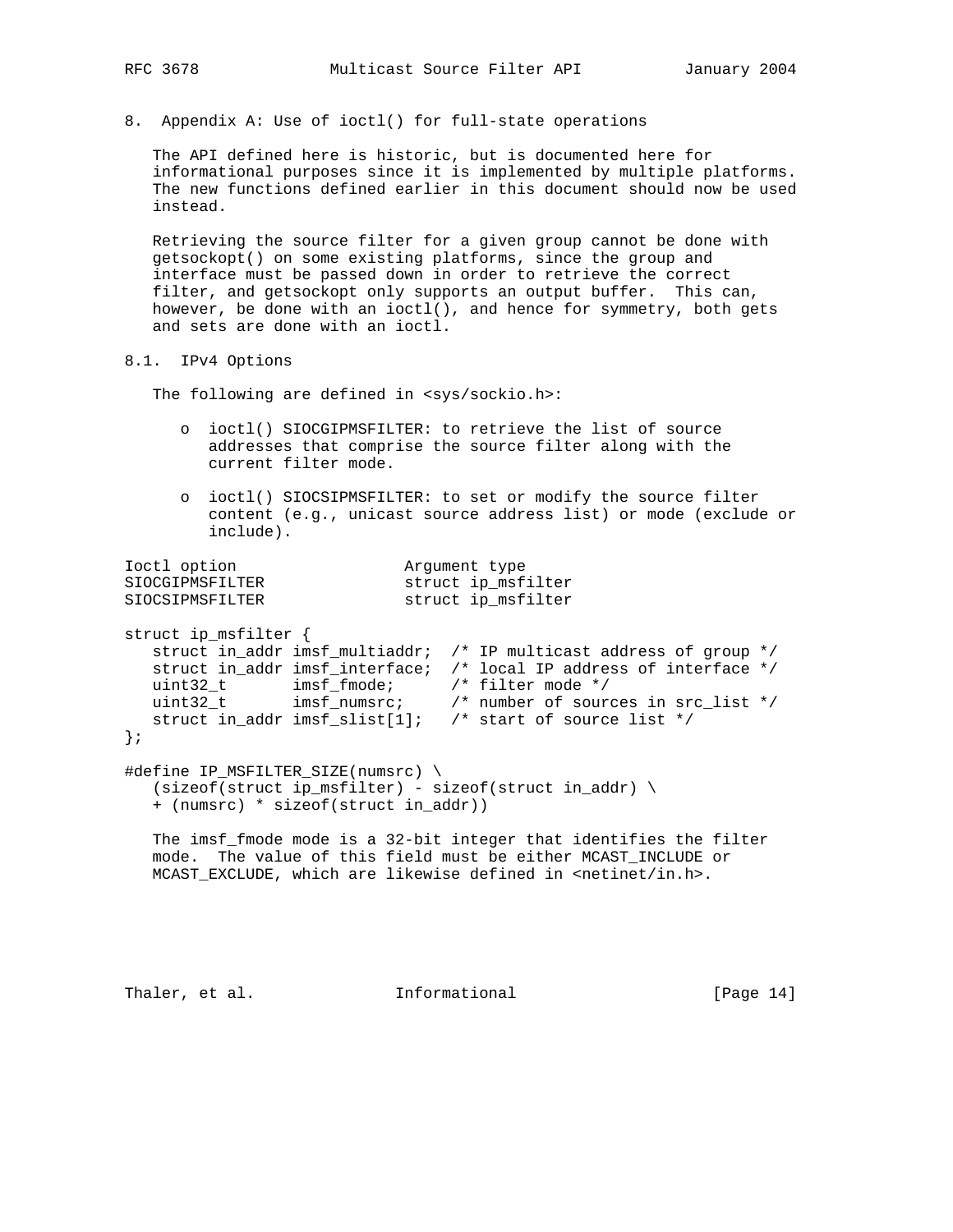8. Appendix A: Use of ioctl() for full-state operations

 The API defined here is historic, but is documented here for informational purposes since it is implemented by multiple platforms. The new functions defined earlier in this document should now be used instead.

 Retrieving the source filter for a given group cannot be done with getsockopt() on some existing platforms, since the group and interface must be passed down in order to retrieve the correct filter, and getsockopt only supports an output buffer. This can, however, be done with an ioctl(), and hence for symmetry, both gets and sets are done with an ioctl.

8.1. IPv4 Options

The following are defined in <sys/sockio.h>:

- o ioctl() SIOCGIPMSFILTER: to retrieve the list of source addresses that comprise the source filter along with the current filter mode.
- o ioctl() SIOCSIPMSFILTER: to set or modify the source filter content (e.g., unicast source address list) or mode (exclude or include).

```
Ioctl option and Argument type
SIOCGIPMSFILTER struct ip_msfilter
SIOCSIPMSFILTER struct ip_msfilter
struct ip_msfilter {
   struct in_addr imsf_multiaddr; /* IP multicast address of group */
   struct in_addr imsf_interface; /* local IP address of interface */
 uint32_t imsf_fmode; /* filter mode */
 uint32_t imsf_numsrc; /* number of sources in src_list */
 struct in_addr imsf_slist[1]; /* start of source list */
};
#define IP_MSFILTER_SIZE(numsrc) \
  (sizeof(struct ip_msfilter) - sizeof(struct in-addr) \ \ \ \ + (numsrc) * sizeof(struct in_addr))
   The imsf_fmode mode is a 32-bit integer that identifies the filter
   mode. The value of this field must be either MCAST_INCLUDE or
  MCAST_EXCLUDE, which are likewise defined in <netinet/in.h>.
```
Thaler, et al. **Informational** [Page 14]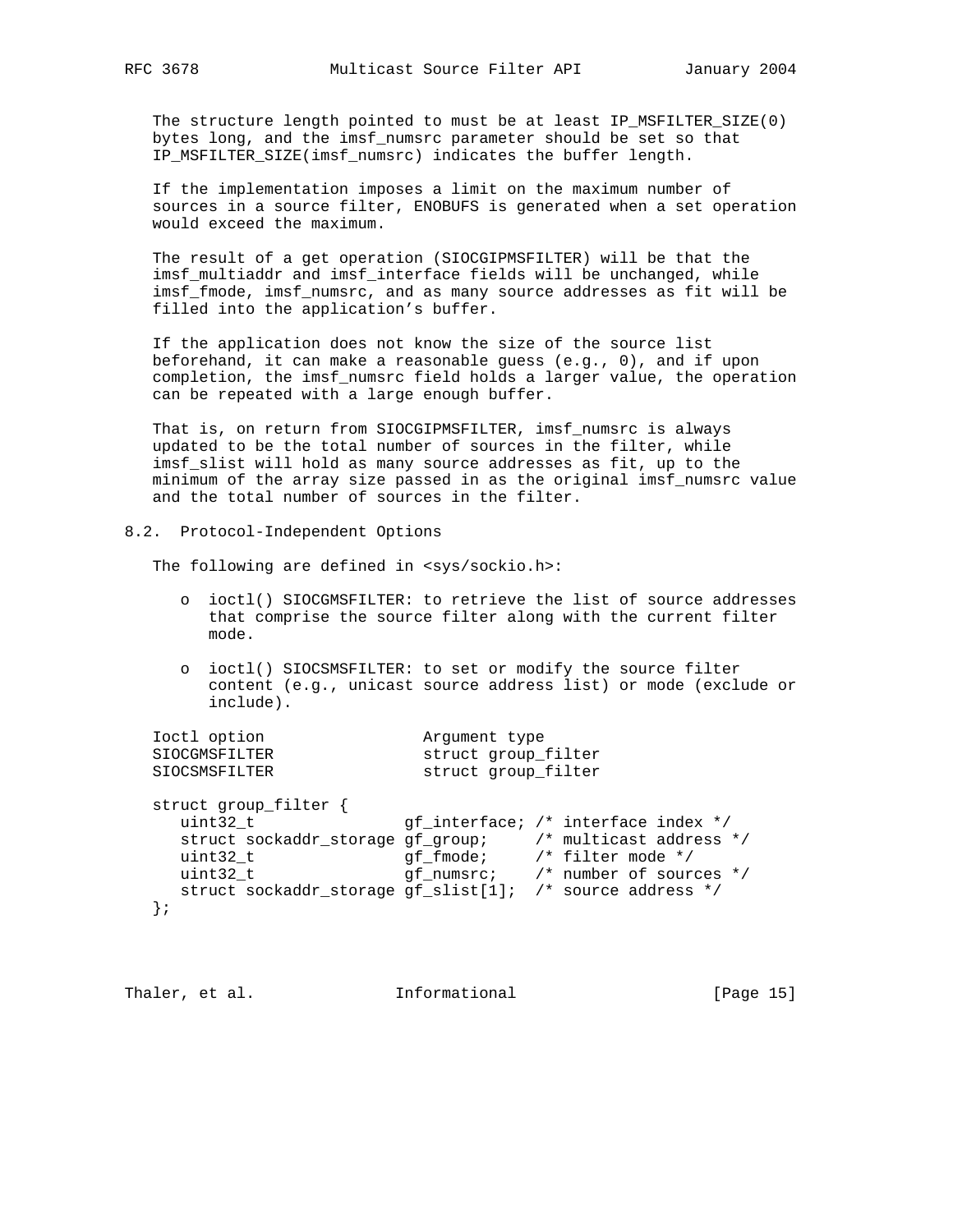The structure length pointed to must be at least IP\_MSFILTER\_SIZE(0) bytes long, and the imsf\_numsrc parameter should be set so that IP\_MSFILTER\_SIZE(imsf\_numsrc) indicates the buffer length.

 If the implementation imposes a limit on the maximum number of sources in a source filter, ENOBUFS is generated when a set operation would exceed the maximum.

 The result of a get operation (SIOCGIPMSFILTER) will be that the imsf\_multiaddr and imsf\_interface fields will be unchanged, while imsf\_fmode, imsf\_numsrc, and as many source addresses as fit will be filled into the application's buffer.

 If the application does not know the size of the source list beforehand, it can make a reasonable guess (e.g., 0), and if upon completion, the imsf\_numsrc field holds a larger value, the operation can be repeated with a large enough buffer.

 That is, on return from SIOCGIPMSFILTER, imsf\_numsrc is always updated to be the total number of sources in the filter, while imsf\_slist will hold as many source addresses as fit, up to the minimum of the array size passed in as the original imsf\_numsrc value and the total number of sources in the filter.

## 8.2. Protocol-Independent Options

The following are defined in <sys/sockio.h>:

- o ioctl() SIOCGMSFILTER: to retrieve the list of source addresses that comprise the source filter along with the current filter mode.
- o ioctl() SIOCSMSFILTER: to set or modify the source filter content (e.g., unicast source address list) or mode (exclude or include).

| Ioctl option          | Arqument type       |
|-----------------------|---------------------|
| SIOCGMSFILTER         | struct group_filter |
| SIOCSMSFILTER         | struct group filter |
| struct group_filter { |                     |

```
uint32_t gf_interface; /* interface index */
 struct sockaddr_storage gf_group; /* multicast address */
 uint32_t gf_fmode; /* filter mode */
 uint32_t gf_numsrc; /* number of sources */
     struct sockaddr_storage gf_slist[1]; /* source address */
   };
```

```
Thaler, et al. 1nformational 1999 [Page 15]
```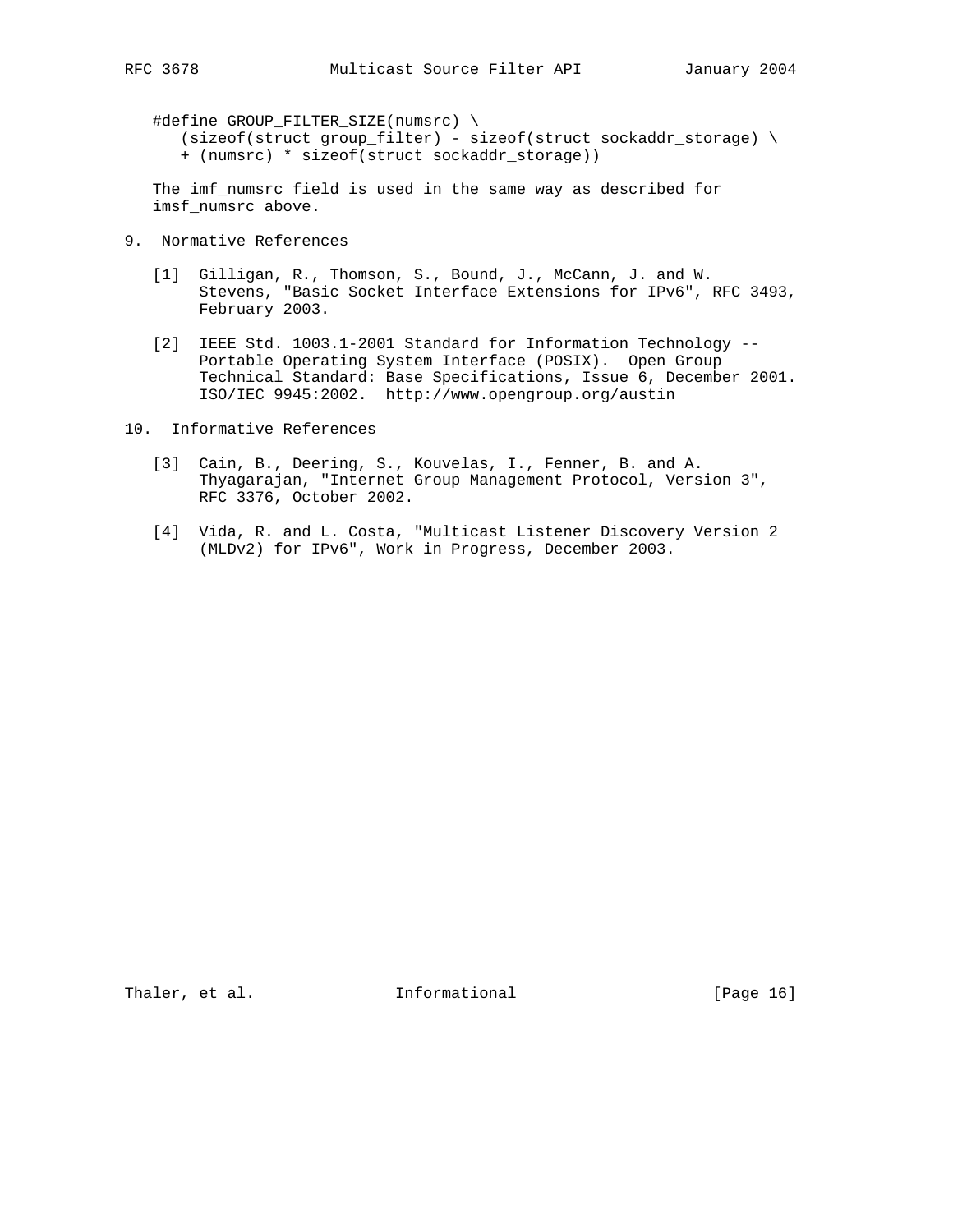#define GROUP\_FILTER\_SIZE(numsrc) \

 $(size of (struct group-filter) - size of (struct sockaddr_storage) \$ + (numsrc) \* sizeof(struct sockaddr\_storage))

 The imf\_numsrc field is used in the same way as described for imsf\_numsrc above.

- 9. Normative References
	- [1] Gilligan, R., Thomson, S., Bound, J., McCann, J. and W. Stevens, "Basic Socket Interface Extensions for IPv6", RFC 3493, February 2003.
	- [2] IEEE Std. 1003.1-2001 Standard for Information Technology -- Portable Operating System Interface (POSIX). Open Group Technical Standard: Base Specifications, Issue 6, December 2001. ISO/IEC 9945:2002. http://www.opengroup.org/austin

10. Informative References

- [3] Cain, B., Deering, S., Kouvelas, I., Fenner, B. and A. Thyagarajan, "Internet Group Management Protocol, Version 3", RFC 3376, October 2002.
- [4] Vida, R. and L. Costa, "Multicast Listener Discovery Version 2 (MLDv2) for IPv6", Work in Progress, December 2003.

Thaler, et al. 1nformational 1999 [Page 16]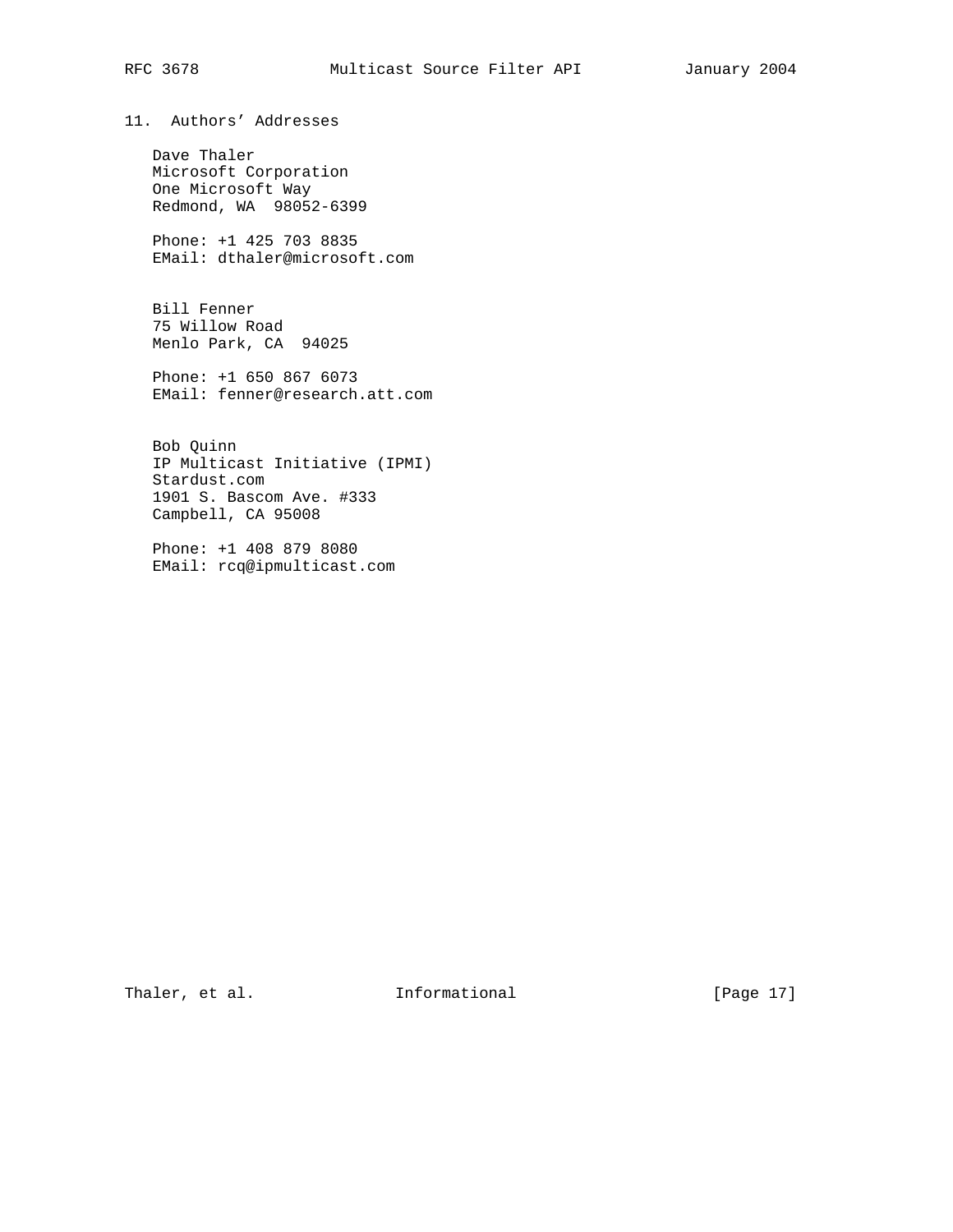# RFC 3678 Multicast Source Filter API January 2004

11. Authors' Addresses

 Dave Thaler Microsoft Corporation One Microsoft Way Redmond, WA 98052-6399

 Phone: +1 425 703 8835 EMail: dthaler@microsoft.com

 Bill Fenner 75 Willow Road Menlo Park, CA 94025

 Phone: +1 650 867 6073 EMail: fenner@research.att.com

 Bob Quinn IP Multicast Initiative (IPMI) Stardust.com 1901 S. Bascom Ave. #333 Campbell, CA 95008

 Phone: +1 408 879 8080 EMail: rcq@ipmulticast.com

Thaler, et al. 1nformational [Page 17]